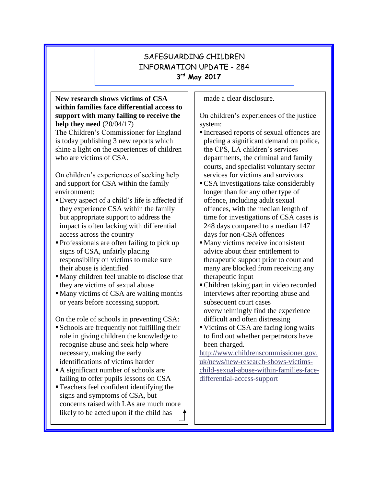# SAFEGUARDING CHILDREN INFORMATION UPDATE - 284 **3 rd May 2017**

#### **New research shows victims of CSA within families face differential access to support with many failing to receive the help they need** (20/04/17)

The Children's Commissioner for England is today publishing 3 new reports which shine a light on the experiences of children who are victims of CSA.

On children's experiences of seeking help and support for CSA within the family environment:

- Every aspect of a child's life is affected if they experience CSA within the family but appropriate support to address the impact is often lacking with differential access across the country
- ▪Professionals are often failing to pick up signs of CSA, unfairly placing responsibility on victims to make sure their abuse is identified
- ▪Many children feel unable to disclose that they are victims of sexual abuse
- Many victims of CSA are waiting months or years before accessing support.

On the role of schools in preventing CSA:

- ▪Schools are frequently not fulfilling their role in giving children the knowledge to recognise abuse and seek help where necessary, making the early identifications of victims harder
- A significant number of schools are failing to offer pupils lessons on CSA
- ▪Teachers feel confident identifying the signs and symptoms of CSA, but concerns raised with LAs are much more likely to be acted upon if the child has

made a clear disclosure.

On children's experiences of the justice system:

- Increased reports of sexual offences are placing a significant demand on police, the CPS, LA children's services departments, the criminal and family courts, and specialist voluntary sector services for victims and survivors
- **•CSA** investigations take considerably longer than for any other type of offence, including adult sexual offences, with the median length of time for investigations of CSA cases is 248 days compared to a median 147 days for non-CSA offences
- Many victims receive inconsistent advice about their entitlement to therapeutic support prior to court and many are blocked from receiving any therapeutic input
- Children taking part in video recorded interviews after reporting abuse and subsequent court cases overwhelmingly find the experience difficult and often distressing
- Victims of CSA are facing long waits to find out whether perpetrators have been charged.

[http://www.childrenscommissioner.gov.](http://www.childrenscommissioner.gov.uk/news/new-research-shows-victims-child-sexual-abuse-within-families-face-differential-access-support) [uk/news/new-research-shows-victims](http://www.childrenscommissioner.gov.uk/news/new-research-shows-victims-child-sexual-abuse-within-families-face-differential-access-support)[child-sexual-abuse-within-families-face](http://www.childrenscommissioner.gov.uk/news/new-research-shows-victims-child-sexual-abuse-within-families-face-differential-access-support)[differential-access-support](http://www.childrenscommissioner.gov.uk/news/new-research-shows-victims-child-sexual-abuse-within-families-face-differential-access-support)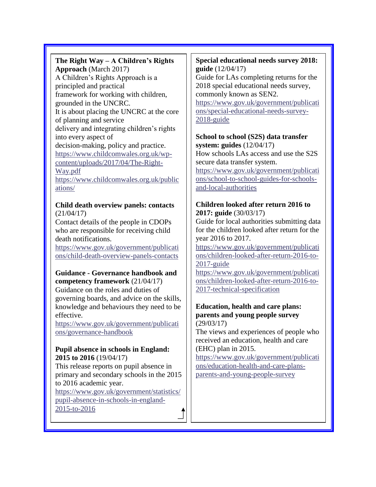## **The Right Way – A Children's Rights Approach** (March 2017) A Children's Rights Approach is a

principled and practical framework for working with children, grounded in the UNCRC. It is about placing the UNCRC at the core of planning and service delivery and integrating children's rights into every aspect of decision-making, policy and practice. [https://www.childcomwales.org.uk/wp](https://www.childcomwales.org.uk/wp-content/uploads/2017/04/The-Right-Way.pdf)[content/uploads/2017/04/The-Right-](https://www.childcomwales.org.uk/wp-content/uploads/2017/04/The-Right-Way.pdf)[Way.pdf](https://www.childcomwales.org.uk/wp-content/uploads/2017/04/The-Right-Way.pdf) [https://www.childcomwales.org.uk/public](https://www.childcomwales.org.uk/publications/) [ations/](https://www.childcomwales.org.uk/publications/)

## **Child death overview panels: contacts** (21/04/17)

Contact details of the people in CDOPs who are responsible for receiving child death notifications.

[https://www.gov.uk/government/publicati](https://www.gov.uk/government/publications/child-death-overview-panels-contacts) [ons/child-death-overview-panels-contacts](https://www.gov.uk/government/publications/child-death-overview-panels-contacts)

## **Guidance - Governance handbook and competency framework** (21/04/17)

Guidance on the roles and duties of governing boards, and advice on the skills, knowledge and behaviours they need to be effective.

[https://www.gov.uk/government/publicati](https://www.gov.uk/government/publications/governance-handbook) [ons/governance-handbook](https://www.gov.uk/government/publications/governance-handbook)

## **Pupil absence in schools in England: 2015 to 2016** (19/04/17)

This release reports on pupil absence in primary and secondary schools in the 2015 to 2016 academic year.

[https://www.gov.uk/government/statistics/](https://www.gov.uk/government/statistics/pupil-absence-in-schools-in-england-2015-to-2016) [pupil-absence-in-schools-in-england-](https://www.gov.uk/government/statistics/pupil-absence-in-schools-in-england-2015-to-2016)[2015-to-2016](https://www.gov.uk/government/statistics/pupil-absence-in-schools-in-england-2015-to-2016)

## **Special educational needs survey 2018: guide** (12/04/17)

Guide for LAs completing returns for the 2018 special educational needs survey, commonly known as SEN2.

[https://www.gov.uk/government/publicati](https://www.gov.uk/government/publications/special-educational-needs-survey-2018-guide) [ons/special-educational-needs-survey-](https://www.gov.uk/government/publications/special-educational-needs-survey-2018-guide)[2018-guide](https://www.gov.uk/government/publications/special-educational-needs-survey-2018-guide)

### **School to school (S2S) data transfer system: guides** (12/04/17)

How schools LAs access and use the S2S secure data transfer system.

[https://www.gov.uk/government/publicati](https://www.gov.uk/government/publications/school-to-school-guides-for-schools-and-local-authorities) [ons/school-to-school-guides-for-schools](https://www.gov.uk/government/publications/school-to-school-guides-for-schools-and-local-authorities)[and-local-authorities](https://www.gov.uk/government/publications/school-to-school-guides-for-schools-and-local-authorities)

## **Children looked after return 2016 to 2017: guide** (30/03/17)

Guide for local authorities submitting data for the children looked after return for the year 2016 to 2017.

[https://www.gov.uk/government/publicati](https://www.gov.uk/government/publications/children-looked-after-return-2016-to-2017-guide) [ons/children-looked-after-return-2016-to-](https://www.gov.uk/government/publications/children-looked-after-return-2016-to-2017-guide)[2017-guide](https://www.gov.uk/government/publications/children-looked-after-return-2016-to-2017-guide)

[https://www.gov.uk/government/publicati](https://www.gov.uk/government/publications/children-looked-after-return-2016-to-2017-technical-specification) [ons/children-looked-after-return-2016-to-](https://www.gov.uk/government/publications/children-looked-after-return-2016-to-2017-technical-specification)[2017-technical-specification](https://www.gov.uk/government/publications/children-looked-after-return-2016-to-2017-technical-specification)

### **Education, health and care plans: parents and young people survey** (29/03/17)

The views and experiences of people who received an education, health and care (EHC) plan in 2015.

[https://www.gov.uk/government/publicati](https://www.gov.uk/government/publications/education-health-and-care-plans-parents-and-young-people-survey) [ons/education-health-and-care-plans](https://www.gov.uk/government/publications/education-health-and-care-plans-parents-and-young-people-survey)[parents-and-young-people-survey](https://www.gov.uk/government/publications/education-health-and-care-plans-parents-and-young-people-survey)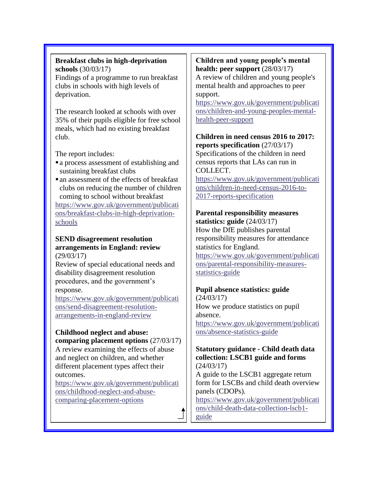# **Breakfast clubs in high-deprivation schools** (30/03/17)

Findings of a programme to run breakfast clubs in schools with high levels of deprivation.

The research looked at schools with over 35% of their pupils eligible for free school meals, which had no existing breakfast club.

The report includes:

- **a** process assessment of establishing and sustaining breakfast clubs
- **a** an assessment of the effects of breakfast clubs on reducing the number of children coming to school without breakfast

[https://www.gov.uk/government/publicati](https://www.gov.uk/government/publications/breakfast-clubs-in-high-deprivation-schools) [ons/breakfast-clubs-in-high-deprivation](https://www.gov.uk/government/publications/breakfast-clubs-in-high-deprivation-schools)[schools](https://www.gov.uk/government/publications/breakfast-clubs-in-high-deprivation-schools)

#### **SEND disagreement resolution arrangements in England: review** (29/03/17)

Review of special educational needs and disability disagreement resolution procedures, and the government's response.

[https://www.gov.uk/government/publicati](https://www.gov.uk/government/publications/send-disagreement-resolution-arrangements-in-england-review) [ons/send-disagreement-resolution](https://www.gov.uk/government/publications/send-disagreement-resolution-arrangements-in-england-review)[arrangements-in-england-review](https://www.gov.uk/government/publications/send-disagreement-resolution-arrangements-in-england-review)

# **Childhood neglect and abuse:**

**comparing placement options** (27/03/17) A review examining the effects of abuse and neglect on children, and whether different placement types affect their outcomes.

[https://www.gov.uk/government/publicati](https://www.gov.uk/government/publications/childhood-neglect-and-abuse-comparing-placement-options) [ons/childhood-neglect-and-abuse](https://www.gov.uk/government/publications/childhood-neglect-and-abuse-comparing-placement-options)[comparing-placement-options](https://www.gov.uk/government/publications/childhood-neglect-and-abuse-comparing-placement-options)

## **Children and young people's mental health: peer support** (28/03/17)

A review of children and young people's mental health and approaches to peer support.

[https://www.gov.uk/government/publicati](https://www.gov.uk/government/publications/children-and-young-peoples-mental-health-peer-support) [ons/children-and-young-peoples-mental](https://www.gov.uk/government/publications/children-and-young-peoples-mental-health-peer-support)[health-peer-support](https://www.gov.uk/government/publications/children-and-young-peoples-mental-health-peer-support)

#### **Children in need census 2016 to 2017: reports specification** (27/03/17) Specifications of the children in need

census reports that LAs can run in COLLECT.

[https://www.gov.uk/government/publicati](https://www.gov.uk/government/publications/children-in-need-census-2016-to-2017-reports-specification) [ons/children-in-need-census-2016-to-](https://www.gov.uk/government/publications/children-in-need-census-2016-to-2017-reports-specification)[2017-reports-specification](https://www.gov.uk/government/publications/children-in-need-census-2016-to-2017-reports-specification)

## **Parental responsibility measures**

**statistics: guide** (24/03/17) How the DfE publishes parental responsibility measures for attendance statistics for England. [https://www.gov.uk/government/publicati](https://www.gov.uk/government/publications/parental-responsibility-measures-statistics-guide) [ons/parental-responsibility-measures](https://www.gov.uk/government/publications/parental-responsibility-measures-statistics-guide)[statistics-guide](https://www.gov.uk/government/publications/parental-responsibility-measures-statistics-guide)

# **Pupil absence statistics: guide**

(24/03/17) How we produce statistics on pupil absence. [https://www.gov.uk/government/publicati](https://www.gov.uk/government/publications/absence-statistics-guide) [ons/absence-statistics-guide](https://www.gov.uk/government/publications/absence-statistics-guide)

#### **Statutory guidance - Child death data collection: LSCB1 guide and forms** (24/03/17)

A guide to the LSCB1 aggregate return form for LSCBs and child death overview panels (CDOPs).

[https://www.gov.uk/government/publicati](https://www.gov.uk/government/publications/child-death-data-collection-lscb1-guide) [ons/child-death-data-collection-lscb1](https://www.gov.uk/government/publications/child-death-data-collection-lscb1-guide) [guide](https://www.gov.uk/government/publications/child-death-data-collection-lscb1-guide)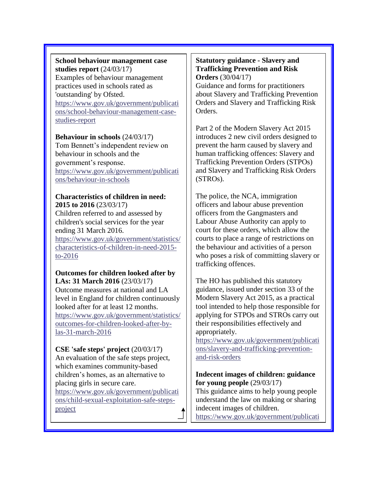## **School behaviour management case studies report** (24/03/17)

Examples of behaviour management practices used in schools rated as 'outstanding' by Ofsted. [https://www.gov.uk/government/publicati](https://www.gov.uk/government/publications/school-behaviour-management-case-studies-report) [ons/school-behaviour-management-case](https://www.gov.uk/government/publications/school-behaviour-management-case-studies-report)[studies-report](https://www.gov.uk/government/publications/school-behaviour-management-case-studies-report)

#### **Behaviour in schools** (24/03/17)

Tom Bennett's independent review on behaviour in schools and the government's response. [https://www.gov.uk/government/publicati](https://www.gov.uk/government/publications/behaviour-in-schools) [ons/behaviour-in-schools](https://www.gov.uk/government/publications/behaviour-in-schools)

#### **Characteristics of children in need: 2015 to 2016** (23/03/17)

Children referred to and assessed by children's social services for the year ending 31 March 2016. [https://www.gov.uk/government/statistics/](https://www.gov.uk/government/statistics/characteristics-of-children-in-need-2015-to-2016) [characteristics-of-children-in-need-2015](https://www.gov.uk/government/statistics/characteristics-of-children-in-need-2015-to-2016) [to-2016](https://www.gov.uk/government/statistics/characteristics-of-children-in-need-2015-to-2016)

#### **Outcomes for children looked after by LAs: 31 March 2016** (23/03/17)

Outcome measures at national and LA level in England for children continuously looked after for at least 12 months. [https://www.gov.uk/government/statistics/](https://www.gov.uk/government/statistics/outcomes-for-children-looked-after-by-las-31-march-2016) [outcomes-for-children-looked-after-by](https://www.gov.uk/government/statistics/outcomes-for-children-looked-after-by-las-31-march-2016)[las-31-march-2016](https://www.gov.uk/government/statistics/outcomes-for-children-looked-after-by-las-31-march-2016)

## **CSE 'safe steps' project** (20/03/17)

An evaluation of the safe steps project, which examines community-based children's homes, as an alternative to placing girls in secure care. [https://www.gov.uk/government/publicati](https://www.gov.uk/government/publications/child-sexual-exploitation-safe-steps-project)

[ons/child-sexual-exploitation-safe-steps](https://www.gov.uk/government/publications/child-sexual-exploitation-safe-steps-project)[project](https://www.gov.uk/government/publications/child-sexual-exploitation-safe-steps-project)

**CSE 'empower and protect' project**

#### **Statutory guidance - Slavery and Trafficking Prevention and Risk Orders** (30/04/17)

Guidance and forms for practitioners about Slavery and Trafficking Prevention Orders and Slavery and Trafficking Risk Orders.

Part 2 of the Modern Slavery Act 2015 introduces 2 new civil orders designed to prevent the harm caused by slavery and human trafficking offences: Slavery and Trafficking Prevention Orders (STPOs) and Slavery and Trafficking Risk Orders (STROs).

The police, the NCA, immigration officers and labour abuse prevention officers from the Gangmasters and Labour Abuse Authority can apply to court for these orders, which allow the courts to place a range of restrictions on the behaviour and activities of a person who poses a risk of committing slavery or trafficking offences.

The HO has published this statutory guidance, issued under section 33 of the Modern Slavery Act 2015, as a practical tool intended to help those responsible for applying for STPOs and STROs carry out their responsibilities effectively and appropriately.

[https://www.gov.uk/government/publicati](https://www.gov.uk/government/publications/slavery-and-trafficking-prevention-and-risk-orders) [ons/slavery-and-trafficking-prevention](https://www.gov.uk/government/publications/slavery-and-trafficking-prevention-and-risk-orders)[and-risk-orders](https://www.gov.uk/government/publications/slavery-and-trafficking-prevention-and-risk-orders)

## **Indecent images of children: guidance for young people** (29/03/17)

This guidance aims to help young people understand the law on making or sharing indecent images of children.

[https://www.gov.uk/government/publicati](https://www.gov.uk/government/publications/indecent-images-of-children-guidance-for-young-people)

[ons/indecent-images-of-children-](https://www.gov.uk/government/publications/indecent-images-of-children-guidance-for-young-people)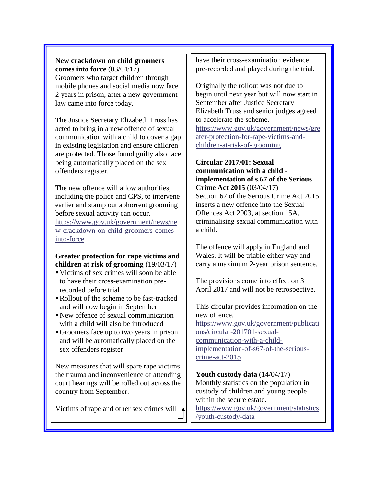**New crackdown on child groomers comes into force** (03/04/17) Groomers who target children through mobile phones and social media now face 2 years in prison, after a new government law came into force today.

The Justice Secretary Elizabeth Truss has acted to bring in a new offence of sexual communication with a child to cover a gap in existing legislation and ensure children are protected. Those found guilty also face being automatically placed on the sex offenders register.

The new offence will allow authorities, including the police and CPS, to intervene earlier and stamp out abhorrent grooming before sexual activity can occur. [https://www.gov.uk/government/news/ne](https://www.gov.uk/government/news/new-crackdown-on-child-groomers-comes-into-force) [w-crackdown-on-child-groomers-comes](https://www.gov.uk/government/news/new-crackdown-on-child-groomers-comes-into-force)[into-force](https://www.gov.uk/government/news/new-crackdown-on-child-groomers-comes-into-force)

**Greater protection for rape victims and children at risk of grooming** (19/03/17)

- ▪Victims of sex crimes will soon be able to have their cross-examination prerecorded before trial
- Rollout of the scheme to be fast-tracked and will now begin in September
- New offence of sexual communication with a child will also be introduced
- ▪Groomers face up to two years in prison and will be automatically placed on the sex offenders register

New measures that will spare rape victims the trauma and inconvenience of attending court hearings will be rolled out across the country from September.

Victims of rape and other sex crimes will  $\triangle$ 

have their cross-examination evidence pre-recorded and played during the trial.

Originally the rollout was not due to begin until next year but will now start in September after Justice Secretary Elizabeth Truss and senior judges agreed to accelerate the scheme. [https://www.gov.uk/government/news/gre](https://www.gov.uk/government/news/greater-protection-for-rape-victims-and-children-at-risk-of-grooming) [ater-protection-for-rape-victims-and](https://www.gov.uk/government/news/greater-protection-for-rape-victims-and-children-at-risk-of-grooming)[children-at-risk-of-grooming](https://www.gov.uk/government/news/greater-protection-for-rape-victims-and-children-at-risk-of-grooming)

**Circular 2017/01: Sexual communication with a child implementation of s.67 of the Serious Crime Act 2015** (03/04/17) Section 67 of the Serious Crime Act 2015 inserts a new offence into the Sexual Offences Act 2003, at section 15A, criminalising sexual communication with a child.

The offence will apply in England and Wales. It will be triable either way and carry a maximum 2-year prison sentence.

The provisions come into effect on 3 April 2017 and will not be retrospective.

This circular provides information on the new offence. [https://www.gov.uk/government/publicati](https://www.gov.uk/government/publications/circular-201701-sexual-communication-with-a-child-implementation-of-s67-of-the-serious-crime-act-2015) [ons/circular-201701-sexual](https://www.gov.uk/government/publications/circular-201701-sexual-communication-with-a-child-implementation-of-s67-of-the-serious-crime-act-2015)[communication-with-a-child](https://www.gov.uk/government/publications/circular-201701-sexual-communication-with-a-child-implementation-of-s67-of-the-serious-crime-act-2015)[implementation-of-s67-of-the-serious](https://www.gov.uk/government/publications/circular-201701-sexual-communication-with-a-child-implementation-of-s67-of-the-serious-crime-act-2015)[crime-act-2015](https://www.gov.uk/government/publications/circular-201701-sexual-communication-with-a-child-implementation-of-s67-of-the-serious-crime-act-2015)

**Youth custody data** (14/04/17) Monthly statistics on the population in custody of children and young people within the secure estate.

[https://www.gov.uk/government/statistics](https://www.gov.uk/government/statistics/youth-custody-data) [/youth-custody-data](https://www.gov.uk/government/statistics/youth-custody-data)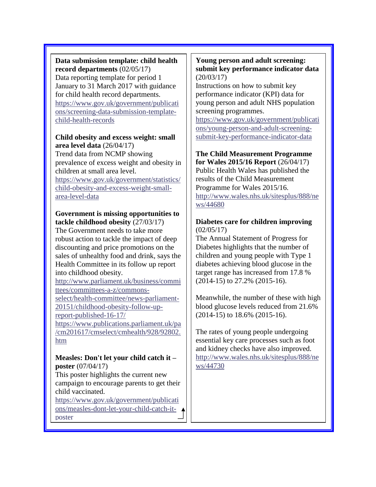**Data submission template: child health record departments** (02/05/17) Data reporting template for period 1 January to 31 March 2017 with guidance for child health record departments. [https://www.gov.uk/government/publicati](https://www.gov.uk/government/publications/screening-data-submission-template-child-health-records) [ons/screening-data-submission-template](https://www.gov.uk/government/publications/screening-data-submission-template-child-health-records)[child-health-records](https://www.gov.uk/government/publications/screening-data-submission-template-child-health-records)

### **Child obesity and excess weight: small area level data** (26/04/17)

Trend data from NCMP showing prevalence of excess weight and obesity in children at small area level. [https://www.gov.uk/government/statistics/](https://www.gov.uk/government/statistics/child-obesity-and-excess-weight-small-area-level-data) [child-obesity-and-excess-weight-small](https://www.gov.uk/government/statistics/child-obesity-and-excess-weight-small-area-level-data)[area-level-data](https://www.gov.uk/government/statistics/child-obesity-and-excess-weight-small-area-level-data)

## **Government is missing opportunities to tackle childhood obesity** (27/03/17)

The Government needs to take more robust action to tackle the impact of deep discounting and price promotions on the sales of unhealthy food and drink, says the Health Committee in its follow up report into childhood obesity.

[http://www.parliament.uk/business/commi](http://www.parliament.uk/business/committees/committees-a-z/commons-select/health-committee/news-parliament-20151/childhood-obesity-follow-up-report-published-16-17/) [ttees/committees-a-z/commons](http://www.parliament.uk/business/committees/committees-a-z/commons-select/health-committee/news-parliament-20151/childhood-obesity-follow-up-report-published-16-17/)[select/health-committee/news-parliament-](http://www.parliament.uk/business/committees/committees-a-z/commons-select/health-committee/news-parliament-20151/childhood-obesity-follow-up-report-published-16-17/)[20151/childhood-obesity-follow-up](http://www.parliament.uk/business/committees/committees-a-z/commons-select/health-committee/news-parliament-20151/childhood-obesity-follow-up-report-published-16-17/)[report-published-16-17/](http://www.parliament.uk/business/committees/committees-a-z/commons-select/health-committee/news-parliament-20151/childhood-obesity-follow-up-report-published-16-17/)

[https://www.publications.parliament.uk/pa](https://www.publications.parliament.uk/pa/cm201617/cmselect/cmhealth/928/92802.htm) [/cm201617/cmselect/cmhealth/928/92802.](https://www.publications.parliament.uk/pa/cm201617/cmselect/cmhealth/928/92802.htm) [htm](https://www.publications.parliament.uk/pa/cm201617/cmselect/cmhealth/928/92802.htm)

## **Measles: Don't let your child catch it – poster** (07/04/17)

This poster highlights the current new campaign to encourage parents to get their child vaccinated.

[https://www.gov.uk/government/publicati](https://www.gov.uk/government/publications/measles-dont-let-your-child-catch-it-poster) [ons/measles-dont-let-your-child-catch-it](https://www.gov.uk/government/publications/measles-dont-let-your-child-catch-it-poster)[poster](https://www.gov.uk/government/publications/measles-dont-let-your-child-catch-it-poster)

### **Young person and adult screening: submit key performance indicator data** (20/03/17)

Instructions on how to submit key performance indicator (KPI) data for young person and adult NHS population screening programmes.

[https://www.gov.uk/government/publicati](https://www.gov.uk/government/publications/young-person-and-adult-screening-submit-key-performance-indicator-data) [ons/young-person-and-adult-screening](https://www.gov.uk/government/publications/young-person-and-adult-screening-submit-key-performance-indicator-data)[submit-key-performance-indicator-data](https://www.gov.uk/government/publications/young-person-and-adult-screening-submit-key-performance-indicator-data)

#### **The Child Measurement Programme for Wales 2015/16 Report** (26/04/17)

Public Health Wales has published the results of the Child Measurement Programme for Wales 2015/16. [http://www.wales.nhs.uk/sitesplus/888/ne](http://www.wales.nhs.uk/sitesplus/888/news/44680) [ws/44680](http://www.wales.nhs.uk/sitesplus/888/news/44680)

## **Diabetes care for children improving** (02/05/17)

The Annual Statement of Progress for Diabetes highlights that the number of children and young people with Type 1 diabetes achieving blood glucose in the target range has increased from 17.8 % (2014-15) to 27.2% (2015-16).

Meanwhile, the number of these with high blood glucose levels reduced from 21.6% (2014-15) to 18.6% (2015-16).

The rates of young people undergoing essential key care processes such as foot and kidney checks have also improved. [http://www.wales.nhs.uk/sitesplus/888/ne](http://www.wales.nhs.uk/sitesplus/888/news/44730) [ws/44730](http://www.wales.nhs.uk/sitesplus/888/news/44730)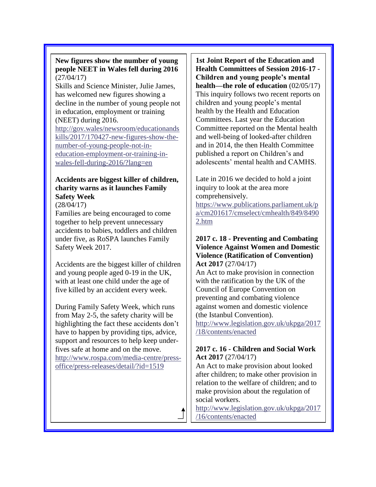### **New figures show the number of young people NEET in Wales fell during 2016** (27/04/17)

Skills and Science Minister, Julie James, has welcomed new figures showing a decline in the number of young people not in education, employment or training (NEET) during 2016.

[http://gov.wales/newsroom/educationands](http://gov.wales/newsroom/educationandskills/2017/170427-new-figures-show-the-number-of-young-people-not-in-education-employment-or-training-in-wales-fell-during-2016/?lang=en) [kills/2017/170427-new-figures-show-the](http://gov.wales/newsroom/educationandskills/2017/170427-new-figures-show-the-number-of-young-people-not-in-education-employment-or-training-in-wales-fell-during-2016/?lang=en)[number-of-young-people-not-in](http://gov.wales/newsroom/educationandskills/2017/170427-new-figures-show-the-number-of-young-people-not-in-education-employment-or-training-in-wales-fell-during-2016/?lang=en)[education-employment-or-training-in](http://gov.wales/newsroom/educationandskills/2017/170427-new-figures-show-the-number-of-young-people-not-in-education-employment-or-training-in-wales-fell-during-2016/?lang=en)[wales-fell-during-2016/?lang=en](http://gov.wales/newsroom/educationandskills/2017/170427-new-figures-show-the-number-of-young-people-not-in-education-employment-or-training-in-wales-fell-during-2016/?lang=en)

# **Accidents are biggest killer of children, charity warns as it launches Family Safety Week**

(28/04/17)

Families are being encouraged to come together to help prevent unnecessary accidents to babies, toddlers and children under five, as RoSPA launches Family Safety Week 2017.

Accidents are the biggest killer of children and young people aged 0-19 in the UK, with at least one child under the age of five killed by an accident every week.

During Family Safety Week, which runs from May 2-5, the safety charity will be highlighting the fact these accidents don't have to happen by providing tips, advice, support and resources to help keep underfives safe at home and on the move. [http://www.rospa.com/media-centre/press](http://www.rospa.com/media-centre/press-office/press-releases/detail/?id=1519)[office/press-releases/detail/?id=1519](http://www.rospa.com/media-centre/press-office/press-releases/detail/?id=1519)

**1st Joint Report of the Education and Health Committees of Session 2016-17 - Children and young people's mental health—the role of education** (02/05/17) This inquiry follows two recent reports on children and young people's mental health by the Health and Education Committees. Last year the Education Committee reported on the Mental health and well-being of looked-after children and in 2014, the then Health Committee published a report on Children's and adolescents' mental health and CAMHS.

Late in 2016 we decided to hold a joint inquiry to look at the area more comprehensively.

[https://www.publications.parliament.uk/p](https://www.publications.parliament.uk/pa/cm201617/cmselect/cmhealth/849/84902.htm) [a/cm201617/cmselect/cmhealth/849/8490](https://www.publications.parliament.uk/pa/cm201617/cmselect/cmhealth/849/84902.htm) [2.htm](https://www.publications.parliament.uk/pa/cm201617/cmselect/cmhealth/849/84902.htm)

#### **2017 c. 18 - Preventing and Combating Violence Against Women and Domestic Violence (Ratification of Convention) Act 2017** (27/04/17)

An Act to make provision in connection with the ratification by the UK of the Council of Europe Convention on preventing and combating violence against women and domestic violence (the Istanbul Convention).

[http://www.legislation.gov.uk/ukpga/2017](http://www.legislation.gov.uk/ukpga/2017/18/contents/enacted) [/18/contents/enacted](http://www.legislation.gov.uk/ukpga/2017/18/contents/enacted)

## **2017 c. 16 - Children and Social Work Act 2017** (27/04/17)

An Act to make provision about looked after children; to make other provision in relation to the welfare of children; and to make provision about the regulation of social workers.

[http://www.legislation.gov.uk/ukpga/2017](http://www.legislation.gov.uk/ukpga/2017/16/contents/enacted) [/16/contents/enacted](http://www.legislation.gov.uk/ukpga/2017/16/contents/enacted)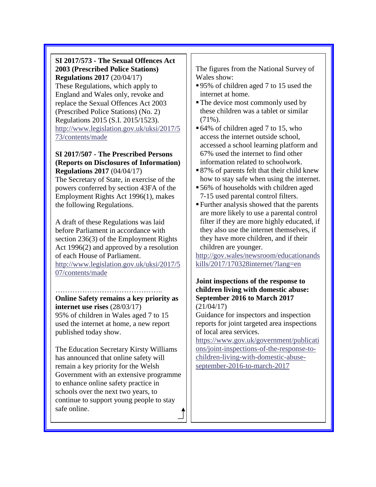**SI 2017/573 - The Sexual Offences Act 2003 (Prescribed Police Stations) Regulations 2017** (20/04/17) These Regulations, which apply to England and Wales only, revoke and replace the Sexual Offences Act 2003 (Prescribed Police Stations) (No. 2) Regulations 2015 (S.I. 2015/1523). [http://www.legislation.gov.uk/uksi/2017/5](http://www.legislation.gov.uk/uksi/2017/573/contents/made) [73/contents/made](http://www.legislation.gov.uk/uksi/2017/573/contents/made)

#### **SI 2017/507 - The Prescribed Persons (Reports on Disclosures of Information) Regulations 2017** (04/04/17)

The Secretary of State, in exercise of the powers conferred by section 43FA of the Employment Rights Act 1996(1), makes the following Regulations.

A draft of these Regulations was laid before Parliament in accordance with section 236(3) of the Employment Rights Act 1996(2) and approved by a resolution of each House of Parliament. [http://www.legislation.gov.uk/uksi/2017/5](http://www.legislation.gov.uk/uksi/2017/507/contents/made)

[07/contents/made](http://www.legislation.gov.uk/uksi/2017/507/contents/made)

……………………………………..

**Online Safety remains a key priority as internet use rises** (28/03/17)

95% of children in Wales aged 7 to 15 used the internet at home, a new report published today show.

The Education Secretary Kirsty Williams has announced that online safety will remain a key priority for the Welsh Government with an extensive programme to enhance online safety practice in schools over the next two years, to continue to support young people to stay safe online.

The figures from the National Survey of Wales show:

- 95% of children aged 7 to 15 used the internet at home.
- The device most commonly used by these children was a tablet or similar  $(71\%)$ .
- 64% of children aged 7 to 15, who access the internet outside school, accessed a school learning platform and 67% used the internet to find other information related to schoolwork.
- 87% of parents felt that their child knew how to stay safe when using the internet.
- 56% of households with children aged 7-15 used parental control filters.
- ▪Further analysis showed that the parents are more likely to use a parental control filter if they are more highly educated, if they also use the internet themselves, if they have more children, and if their children are younger.

[http://gov.wales/newsroom/educationands](http://gov.wales/newsroom/educationandskills/2017/170328internet/?lang=en) [kills/2017/170328internet/?lang=en](http://gov.wales/newsroom/educationandskills/2017/170328internet/?lang=en)

#### **Joint inspections of the response to children living with domestic abuse: September 2016 to March 2017** (21/04/17)

Guidance for inspectors and inspection reports for joint targeted area inspections of local area services.

[https://www.gov.uk/government/publicati](https://www.gov.uk/government/publications/joint-inspections-of-the-response-to-children-living-with-domestic-abuse-september-2016-to-march-2017) [ons/joint-inspections-of-the-response-to](https://www.gov.uk/government/publications/joint-inspections-of-the-response-to-children-living-with-domestic-abuse-september-2016-to-march-2017)[children-living-with-domestic-abuse](https://www.gov.uk/government/publications/joint-inspections-of-the-response-to-children-living-with-domestic-abuse-september-2016-to-march-2017)[september-2016-to-march-2017](https://www.gov.uk/government/publications/joint-inspections-of-the-response-to-children-living-with-domestic-abuse-september-2016-to-march-2017)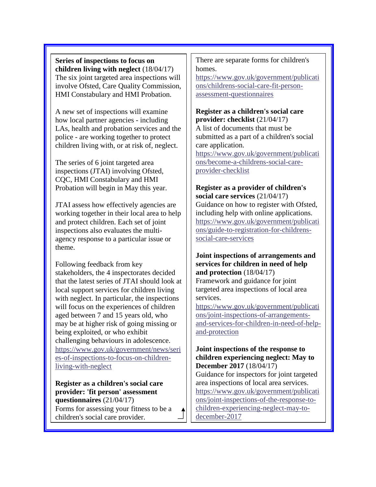**Series of inspections to focus on children living with neglect** (18/04/17) The six joint targeted area inspections will involve Ofsted, Care Quality Commission, HMI Constabulary and HMI Probation.

A new set of inspections will examine how local partner agencies - including LAs, health and probation services and the police - are working together to protect children living with, or at risk of, neglect.

The series of 6 joint targeted area inspections (JTAI) involving Ofsted, CQC, HMI Constabulary and HMI Probation will begin in May this year.

JTAI assess how effectively agencies are working together in their local area to help and protect children. Each set of joint inspections also evaluates the multiagency response to a particular issue or theme.

Following feedback from key stakeholders, the 4 inspectorates decided that the latest series of JTAI should look at local support services for children living with neglect. In particular, the inspections will focus on the experiences of children aged between 7 and 15 years old, who may be at higher risk of going missing or being exploited, or who exhibit challenging behaviours in adolescence. [https://www.gov.uk/government/news/seri](https://www.gov.uk/government/news/series-of-inspections-to-focus-on-children-living-with-neglect) [es-of-inspections-to-focus-on-children](https://www.gov.uk/government/news/series-of-inspections-to-focus-on-children-living-with-neglect)[living-with-neglect](https://www.gov.uk/government/news/series-of-inspections-to-focus-on-children-living-with-neglect)

**Register as a children's social care provider: 'fit person' assessment questionnaires** (21/04/17) Forms for assessing your fitness to be a children's social care provider.

There are separate forms for children's homes.

[https://www.gov.uk/government/publicati](https://www.gov.uk/government/publications/childrens-social-care-fit-person-assessment-questionnaires) [ons/childrens-social-care-fit-person](https://www.gov.uk/government/publications/childrens-social-care-fit-person-assessment-questionnaires)[assessment-questionnaires](https://www.gov.uk/government/publications/childrens-social-care-fit-person-assessment-questionnaires)

**Register as a children's social care provider: checklist** (21/04/17) A list of documents that must be submitted as a part of a children's social care application.

[https://www.gov.uk/government/publicati](https://www.gov.uk/government/publications/become-a-childrens-social-care-provider-checklist) [ons/become-a-childrens-social-care](https://www.gov.uk/government/publications/become-a-childrens-social-care-provider-checklist)[provider-checklist](https://www.gov.uk/government/publications/become-a-childrens-social-care-provider-checklist)

#### **Register as a provider of children's social care services** (21/04/17)

Guidance on how to register with Ofsted, including help with online applications. [https://www.gov.uk/government/publicati](https://www.gov.uk/government/publications/guide-to-registration-for-childrens-social-care-services) [ons/guide-to-registration-for-childrens](https://www.gov.uk/government/publications/guide-to-registration-for-childrens-social-care-services)[social-care-services](https://www.gov.uk/government/publications/guide-to-registration-for-childrens-social-care-services)

### **Joint inspections of arrangements and services for children in need of help and protection** (18/04/17)

Framework and guidance for joint targeted area inspections of local area services.

[https://www.gov.uk/government/publicati](https://www.gov.uk/government/publications/joint-inspections-of-arrangements-and-services-for-children-in-need-of-help-and-protection) [ons/joint-inspections-of-arrangements](https://www.gov.uk/government/publications/joint-inspections-of-arrangements-and-services-for-children-in-need-of-help-and-protection)[and-services-for-children-in-need-of-help](https://www.gov.uk/government/publications/joint-inspections-of-arrangements-and-services-for-children-in-need-of-help-and-protection)[and-protection](https://www.gov.uk/government/publications/joint-inspections-of-arrangements-and-services-for-children-in-need-of-help-and-protection)

#### **Joint inspections of the response to children experiencing neglect: May to December 2017** (18/04/17)

Guidance for inspectors for joint targeted area inspections of local area services. [https://www.gov.uk/government/publicati](https://www.gov.uk/government/publications/joint-inspections-of-the-response-to-children-experiencing-neglect-may-to-december-2017) [ons/joint-inspections-of-the-response-to](https://www.gov.uk/government/publications/joint-inspections-of-the-response-to-children-experiencing-neglect-may-to-december-2017)[children-experiencing-neglect-may-to](https://www.gov.uk/government/publications/joint-inspections-of-the-response-to-children-experiencing-neglect-may-to-december-2017)[december-2017](https://www.gov.uk/government/publications/joint-inspections-of-the-response-to-children-experiencing-neglect-may-to-december-2017)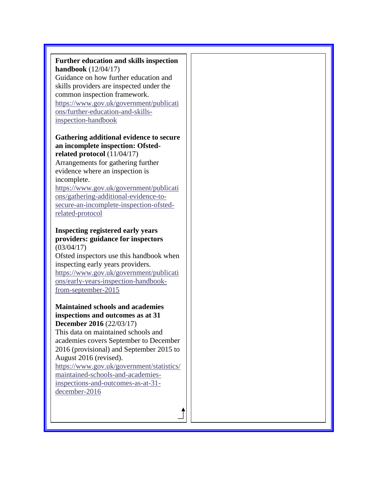| Further education and skills inspection<br><b>handbook</b> $(12/04/17)$ |  |
|-------------------------------------------------------------------------|--|
| Guidance on how further education and                                   |  |
| skills providers are inspected under the                                |  |
| common inspection framework.                                            |  |
| https://www.gov.uk/government/publicati                                 |  |
| ons/further-education-and-skills-                                       |  |
| inspection-handbook                                                     |  |
|                                                                         |  |
| Gathering additional evidence to secure                                 |  |
| an incomplete inspection: Ofsted-                                       |  |
| related protocol $(11/04/17)$                                           |  |
| Arrangements for gathering further                                      |  |
| evidence where an inspection is                                         |  |
| incomplete.                                                             |  |
| https://www.gov.uk/government/publicati                                 |  |
| ons/gathering-additional-evidence-to-                                   |  |
| secure-an-incomplete-inspection-ofsted-                                 |  |
| related-protocol                                                        |  |
|                                                                         |  |
| <b>Inspecting registered early years</b>                                |  |
| providers: guidance for inspectors                                      |  |
| (03/04/17)                                                              |  |
| Ofsted inspectors use this handbook when                                |  |
| inspecting early years providers.                                       |  |
|                                                                         |  |
| https://www.gov.uk/government/publicati                                 |  |
| ons/early-years-inspection-handbook-                                    |  |
| from-september-2015                                                     |  |
|                                                                         |  |
| <b>Maintained schools and academies</b>                                 |  |
| inspections and outcomes as at 31                                       |  |
| December 2016 (22/03/17)                                                |  |
| This data on maintained schools and                                     |  |
| academies covers September to December                                  |  |
| 2016 (provisional) and September 2015 to                                |  |
| August 2016 (revised).                                                  |  |
| https://www.gov.uk/government/statistics/                               |  |
| maintained-schools-and-academies-<br>inspections-and-outcomes-as-at-31- |  |

[december-2016](https://www.gov.uk/government/statistics/maintained-schools-and-academies-inspections-and-outcomes-as-at-31-december-2016)

 $\ddagger$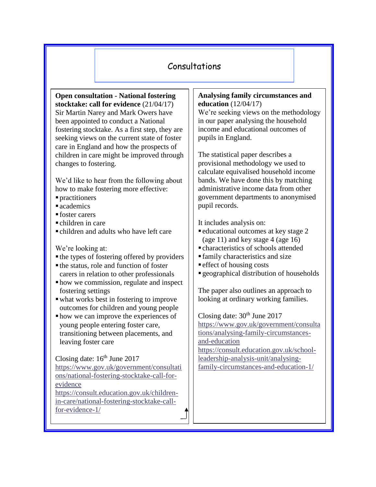# Consultations

**Open consultation - National fostering stocktake: call for evidence** (21/04/17) Sir Martin Narey and Mark Owers have been appointed to conduct a National fostering stocktake. As a first step, they are seeking views on the current state of foster care in England and how the prospects of children in care might be improved through changes to fostering.

We'd like to hear from the following about how to make fostering more effective:

- practitioners
- $\blacksquare$  academics
- foster carers
- $\blacksquare$  children in care
- children and adults who have left care

We're looking at:

- the types of fostering offered by providers
- $\blacksquare$  the status, role and function of foster carers in relation to other professionals
- how we commission, regulate and inspect fostering settings
- ▪what works best in fostering to improve outcomes for children and young people
- how we can improve the experiences of young people entering foster care, transitioning between placements, and leaving foster care

Closing date:  $16<sup>th</sup>$  June 2017 [https://www.gov.uk/government/consultati](https://www.gov.uk/government/consultations/national-fostering-stocktake-call-for-evidence) [ons/national-fostering-stocktake-call-for](https://www.gov.uk/government/consultations/national-fostering-stocktake-call-for-evidence)[evidence](https://www.gov.uk/government/consultations/national-fostering-stocktake-call-for-evidence) [https://consult.education.gov.uk/children](https://consult.education.gov.uk/children-in-care/national-fostering-stocktake-call-for-evidence-1/)[in-care/national-fostering-stocktake-call](https://consult.education.gov.uk/children-in-care/national-fostering-stocktake-call-for-evidence-1/)[for-evidence-1/](https://consult.education.gov.uk/children-in-care/national-fostering-stocktake-call-for-evidence-1/)

#### **Analysing family circumstances and education** (12/04/17)

We're seeking views on the methodology in our paper analysing the household income and educational outcomes of pupils in England.

The statistical paper describes a provisional methodology we used to calculate equivalised household income bands. We have done this by matching administrative income data from other government departments to anonymised pupil records.

It includes analysis on:

- educational outcomes at key stage 2 (age 11) and key stage 4 (age 16)
- $\blacksquare$  characteristics of schools attended
- family characteristics and size
- $\blacksquare$  effect of housing costs
- geographical distribution of households

The paper also outlines an approach to looking at ordinary working families.

Closing date:  $30<sup>th</sup>$  June 2017 [https://www.gov.uk/government/consulta](https://www.gov.uk/government/consultations/analysing-family-circumstances-and-education) [tions/analysing-family-circumstances](https://www.gov.uk/government/consultations/analysing-family-circumstances-and-education)[and-education](https://www.gov.uk/government/consultations/analysing-family-circumstances-and-education) [https://consult.education.gov.uk/school](https://consult.education.gov.uk/school-leadership-analysis-unit/analysing-family-circumstances-and-education-1/)[leadership-analysis-unit/analysing](https://consult.education.gov.uk/school-leadership-analysis-unit/analysing-family-circumstances-and-education-1/)[family-circumstances-and-education-1/](https://consult.education.gov.uk/school-leadership-analysis-unit/analysing-family-circumstances-and-education-1/)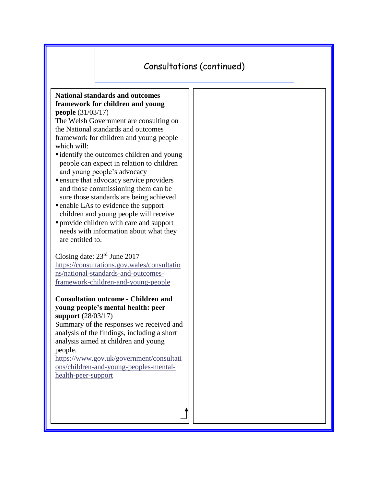# Consultations (continued)

#### **National standards and outcomes framework for children and young people** (31/03/17)

The Welsh Government are consulting on the National standards and outcomes framework for children and young people which will:

- identify the outcomes children and young people can expect in relation to children and young people's advocacy
- **Example 1** ensure that advocacy service providers and those commissioning them can be sure those standards are being achieved
- enable LAs to evidence the support children and young people will receive
- provide children with care and support needs with information about what they are entitled to.

Closing date: 23rd June 2017 [https://consultations.gov.wales/consultatio](https://consultations.gov.wales/consultations/national-standards-and-outcomes-framework-children-and-young-people) [ns/national-standards-and-outcomes](https://consultations.gov.wales/consultations/national-standards-and-outcomes-framework-children-and-young-people)[framework-children-and-young-people](https://consultations.gov.wales/consultations/national-standards-and-outcomes-framework-children-and-young-people)

#### **Consultation outcome - Children and young people's mental health: peer support** (28/03/17)

Summary of the responses we received and analysis of the findings, including a short analysis aimed at children and young people.

[https://www.gov.uk/government/consultati](https://www.gov.uk/government/consultations/children-and-young-peoples-mental-health-peer-support) [ons/children-and-young-peoples-mental](https://www.gov.uk/government/consultations/children-and-young-peoples-mental-health-peer-support)[health-peer-support](https://www.gov.uk/government/consultations/children-and-young-peoples-mental-health-peer-support)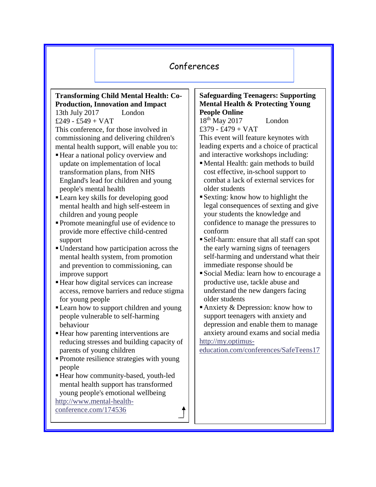# Conferences

# **Transforming Child Mental Health: Co-Production, Innovation and Impact**

13th July 2017 London £249 - £549 +  $VAT$ This conference, for those involved in commissioning and delivering children's mental health support, will enable you to:

- Hear a national policy overview and update on implementation of local transformation plans, from NHS England's lead for children and young people's mental health
- ▪Learn key skills for developing good mental health and high self-esteem in children and young people
- ▪Promote meaningful use of evidence to provide more effective child-centred support
- ▪Understand how participation across the mental health system, from promotion and prevention to commissioning, can improve support
- Hear how digital services can increase access, remove barriers and reduce stigma for young people
- ▪Learn how to support children and young people vulnerable to self-harming behaviour
- Hear how parenting interventions are reducing stresses and building capacity of parents of young children
- Promote resilience strategies with young people
- ▪Hear how community-based, youth-led mental health support has transformed young people's emotional wellbeing [http://www.mental-health-](http://www.mental-health-conference.com/174536)

[conference.com/174536](http://www.mental-health-conference.com/174536)

## **Safeguarding Teenagers: Supporting Mental Health & Protecting Young People Online**

18<sup>th</sup> May 2017 London £379 - £479 + VAT

This event will feature keynotes with leading experts and a choice of practical and interactive workshops including:

- ▪Mental Health: gain methods to build cost effective, in-school support to combat a lack of external services for older students
- Sexting: know how to highlight the legal consequences of sexting and give your students the knowledge and confidence to manage the pressures to conform
- ▪Self-harm: ensure that all staff can spot the early warning signs of teenagers self-harming and understand what their immediate response should be
- ▪Social Media: learn how to encourage a productive use, tackle abuse and understand the new dangers facing older students
- Anxiety  $&$  Depression: know how to support teenagers with anxiety and depression and enable them to manage anxiety around exams and social media [http://my.optimus-](http://my.optimus-education.com/conferences/SafeTeens17)

[education.com/conferences/SafeTeens17](http://my.optimus-education.com/conferences/SafeTeens17)